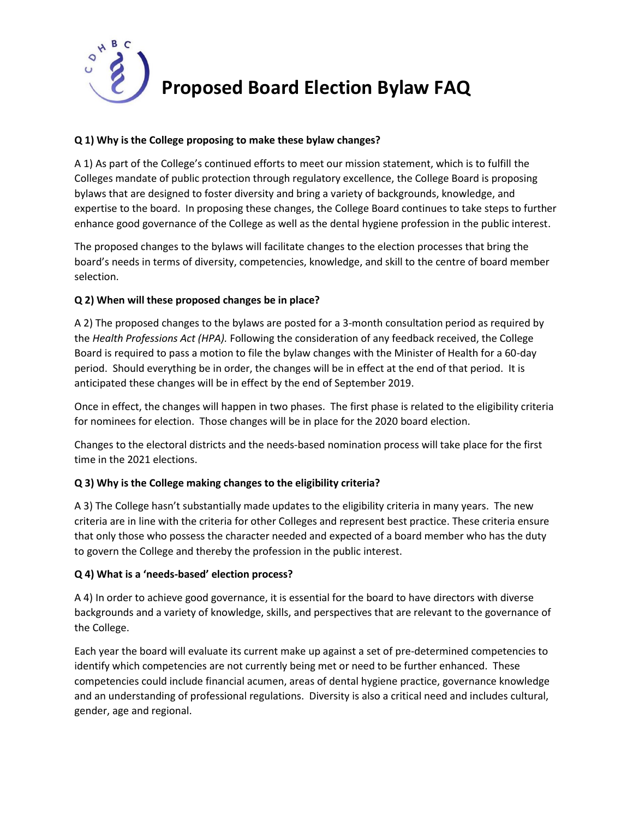

# **Proposed Board Election Bylaw FAQ**

# **Q 1) Why is the College proposing to make these bylaw changes?**

A 1) As part of the College's continued efforts to meet our mission statement, which is to fulfill the Colleges mandate of public protection through regulatory excellence, the College Board is proposing bylaws that are designed to foster diversity and bring a variety of backgrounds, knowledge, and expertise to the board. In proposing these changes, the College Board continues to take steps to further enhance good governance of the College as well as the dental hygiene profession in the public interest.

The proposed changes to the bylaws will facilitate changes to the election processes that bring the board's needs in terms of diversity, competencies, knowledge, and skill to the centre of board member selection.

## **Q 2) When will these proposed changes be in place?**

A 2) The proposed changes to the bylaws are posted for a 3-month consultation period as required by the *Health Professions Act (HPA).* Following the consideration of any feedback received, the College Board is required to pass a motion to file the bylaw changes with the Minister of Health for a 60-day period. Should everything be in order, the changes will be in effect at the end of that period. It is anticipated these changes will be in effect by the end of September 2019.

Once in effect, the changes will happen in two phases. The first phase is related to the eligibility criteria for nominees for election. Those changes will be in place for the 2020 board election.

Changes to the electoral districts and the needs-based nomination process will take place for the first time in the 2021 elections.

# **Q 3) Why is the College making changes to the eligibility criteria?**

A 3) The College hasn't substantially made updates to the eligibility criteria in many years. The new criteria are in line with the criteria for other Colleges and represent best practice. These criteria ensure that only those who possess the character needed and expected of a board member who has the duty to govern the College and thereby the profession in the public interest.

#### **Q 4) What is a 'needs-based' election process?**

A 4) In order to achieve good governance, it is essential for the board to have directors with diverse backgrounds and a variety of knowledge, skills, and perspectives that are relevant to the governance of the College.

Each year the board will evaluate its current make up against a set of pre-determined competencies to identify which competencies are not currently being met or need to be further enhanced. These competencies could include financial acumen, areas of dental hygiene practice, governance knowledge and an understanding of professional regulations. Diversity is also a critical need and includes cultural, gender, age and regional.